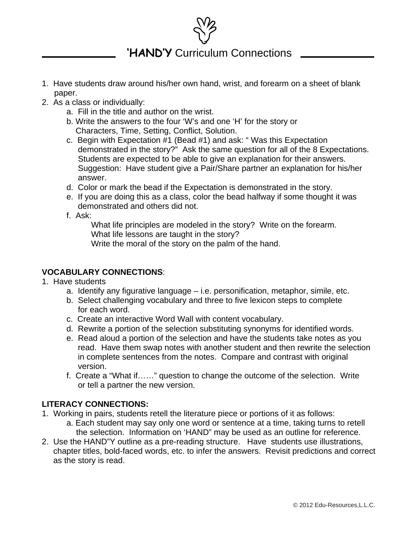

# **'HAND'Y** Curriculum Connections

- 1. Have students draw around his/her own hand, wrist, and forearm on a sheet of blank paper.
- 2. As a class or individually:
	- a. Fill in the title and author on the wrist.
	- b. Write the answers to the four 'W's and one 'H' for the story or Characters, Time, Setting, Conflict, Solution.
	- c. Begin with Expectation #1 (Bead #1) and ask: " Was this Expectation demonstrated in the story?" Ask the same question for all of the 8 Expectations. Students are expected to be able to give an explanation for their answers. Suggestion: Have student give a Pair/Share partner an explanation for his/her answer.
	- d. Color or mark the bead if the Expectation is demonstrated in the story.
	- e. If you are doing this as a class, color the bead halfway if some thought it was demonstrated and others did not.
	- f. Ask:

 What life principles are modeled in the story? Write on the forearm. What life lessons are taught in the story? Write the moral of the story on the palm of the hand.

# **VOCABULARY CONNECTIONS**:

- 1. Have students
	- a. Identify any figurative language i.e. personification, metaphor, simile, etc.
	- b. Select challenging vocabulary and three to five lexicon steps to complete for each word.
	- c. Create an interactive Word Wall with content vocabulary.
	- d. Rewrite a portion of the selection substituting synonyms for identified words.
	- e. Read aloud a portion of the selection and have the students take notes as you read. Have them swap notes with another student and then rewrite the selection in complete sentences from the notes. Compare and contrast with original version.
	- f. Create a "What if……" question to change the outcome of the selection. Write or tell a partner the new version.

# **LITERACY CONNECTIONS:**

- 1. Working in pairs, students retell the literature piece or portions of it as follows:
	- a. Each student may say only one word or sentence at a time, taking turns to retell the selection. Information on 'HAND" may be used as an outline for reference.
- 2. Use the HAND"Y outline as a pre-reading structure. Have students use illustrations, chapter titles, bold-faced words, etc. to infer the answers. Revisit predictions and correct as the story is read.